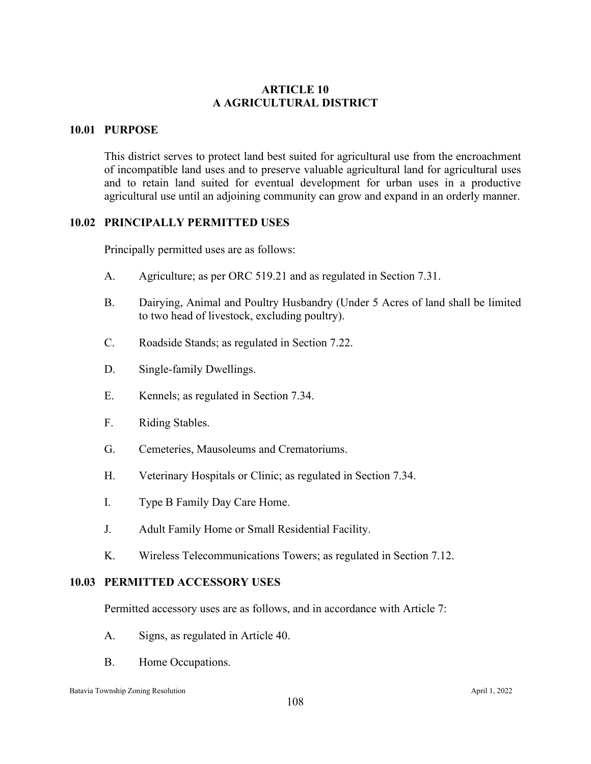# **ARTICLE 10 A AGRICULTURAL DISTRICT**

# **10.01 PURPOSE**

This district serves to protect land best suited for agricultural use from the encroachment of incompatible land uses and to preserve valuable agricultural land for agricultural uses and to retain land suited for eventual development for urban uses in a productive agricultural use until an adjoining community can grow and expand in an orderly manner.

# **10.02 PRINCIPALLY PERMITTED USES**

Principally permitted uses are as follows:

- A. Agriculture; as per ORC 519.21 and as regulated in Section 7.31.
- B. Dairying, Animal and Poultry Husbandry (Under 5 Acres of land shall be limited to two head of livestock, excluding poultry).
- C. Roadside Stands; as regulated in Section 7.22.
- D. Single-family Dwellings.
- E. Kennels; as regulated in Section 7.34.
- F. Riding Stables.
- G. Cemeteries, Mausoleums and Crematoriums.
- H. Veterinary Hospitals or Clinic; as regulated in Section 7.34.
- I. Type B Family Day Care Home.
- J. Adult Family Home or Small Residential Facility.
- K. Wireless Telecommunications Towers; as regulated in Section 7.12.

#### **10.03 PERMITTED ACCESSORY USES**

Permitted accessory uses are as follows, and in accordance with Article 7:

- A. Signs, as regulated in Article 40.
- B. Home Occupations.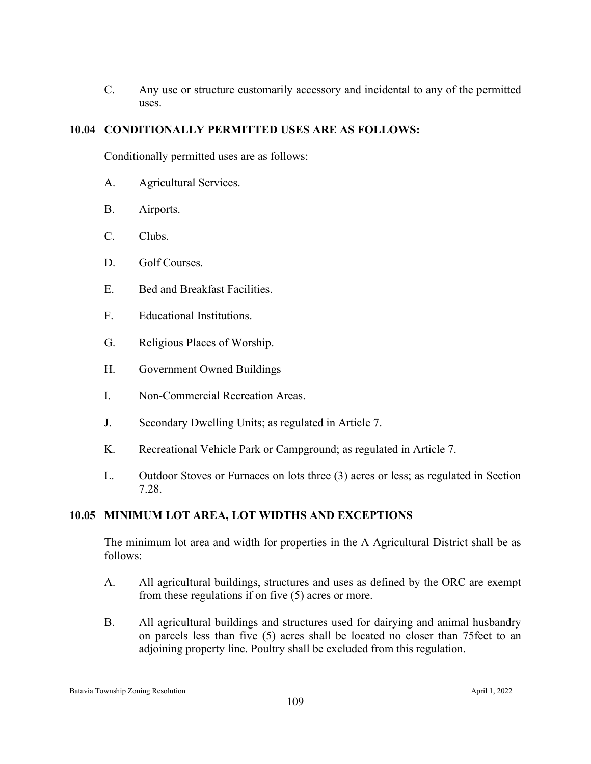C. Any use or structure customarily accessory and incidental to any of the permitted uses.

# **10.04 CONDITIONALLY PERMITTED USES ARE AS FOLLOWS:**

Conditionally permitted uses are as follows:

- A. Agricultural Services.
- B. Airports.
- C. Clubs.
- D. Golf Courses.
- E. Bed and Breakfast Facilities.
- F. Educational Institutions.
- G. Religious Places of Worship.
- H. Government Owned Buildings
- I. Non-Commercial Recreation Areas.
- J. Secondary Dwelling Units; as regulated in Article 7.
- K. Recreational Vehicle Park or Campground; as regulated in Article 7.
- L. Outdoor Stoves or Furnaces on lots three (3) acres or less; as regulated in Section 7.28.

# **10.05 MINIMUM LOT AREA, LOT WIDTHS AND EXCEPTIONS**

The minimum lot area and width for properties in the A Agricultural District shall be as follows:

- A. All agricultural buildings, structures and uses as defined by the ORC are exempt from these regulations if on five (5) acres or more.
- B. All agricultural buildings and structures used for dairying and animal husbandry on parcels less than five (5) acres shall be located no closer than 75feet to an adjoining property line. Poultry shall be excluded from this regulation.

Batavia Township Zoning Resolution April 1, 2022